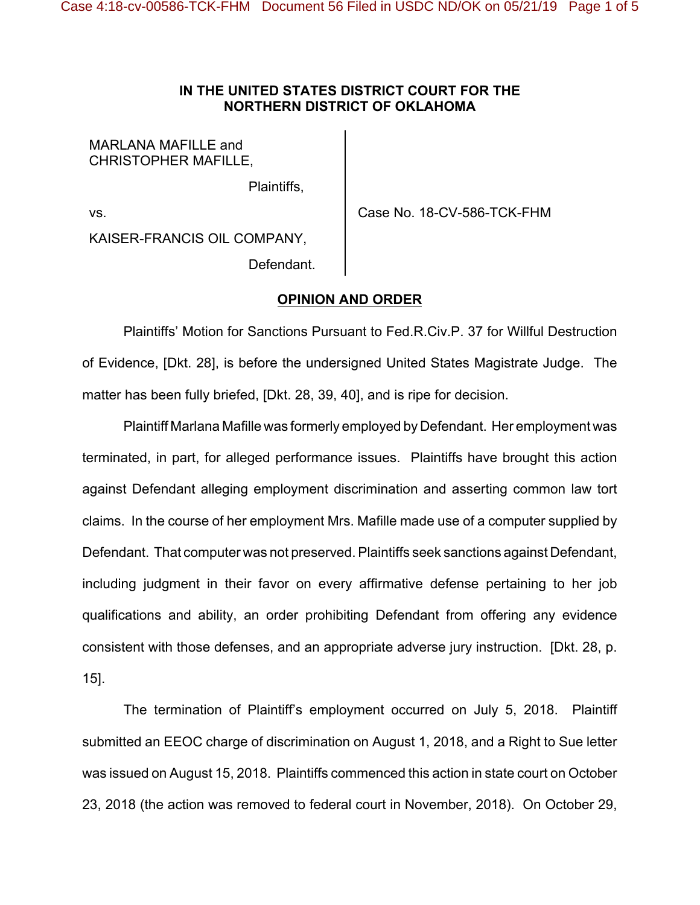## **IN THE UNITED STATES DISTRICT COURT FOR THE NORTHERN DISTRICT OF OKLAHOMA**

MARLANA MAFILLE and CHRISTOPHER MAFILLE,

Plaintiffs,

vs.  $\blacksquare$  Case No. 18-CV-586-TCK-FHM

KAISER-FRANCIS OIL COMPANY, Defendant.

## **OPINION AND ORDER**

Plaintiffs' Motion for Sanctions Pursuant to Fed.R.Civ.P. 37 for Willful Destruction of Evidence, [Dkt. 28], is before the undersigned United States Magistrate Judge. The matter has been fully briefed, [Dkt. 28, 39, 40], and is ripe for decision.

Plaintiff Marlana Mafille was formerly employed by Defendant. Her employment was terminated, in part, for alleged performance issues. Plaintiffs have brought this action against Defendant alleging employment discrimination and asserting common law tort claims. In the course of her employment Mrs. Mafille made use of a computer supplied by Defendant. That computer was not preserved. Plaintiffs seek sanctions against Defendant, including judgment in their favor on every affirmative defense pertaining to her job qualifications and ability, an order prohibiting Defendant from offering any evidence consistent with those defenses, and an appropriate adverse jury instruction. [Dkt. 28, p. 15].

The termination of Plaintiff's employment occurred on July 5, 2018. Plaintiff submitted an EEOC charge of discrimination on August 1, 2018, and a Right to Sue letter was issued on August 15, 2018. Plaintiffs commenced this action in state court on October 23, 2018 (the action was removed to federal court in November, 2018). On October 29,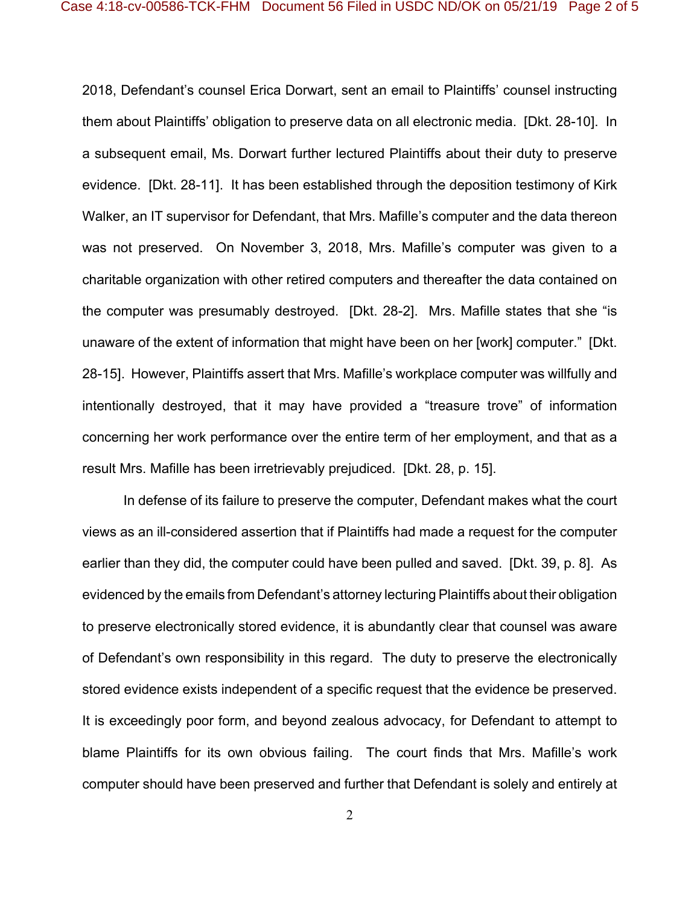2018, Defendant's counsel Erica Dorwart, sent an email to Plaintiffs' counsel instructing them about Plaintiffs' obligation to preserve data on all electronic media. [Dkt. 28-10]. In a subsequent email, Ms. Dorwart further lectured Plaintiffs about their duty to preserve evidence. [Dkt. 28-11]. It has been established through the deposition testimony of Kirk Walker, an IT supervisor for Defendant, that Mrs. Mafille's computer and the data thereon was not preserved. On November 3, 2018, Mrs. Mafille's computer was given to a charitable organization with other retired computers and thereafter the data contained on the computer was presumably destroyed. [Dkt. 28-2]. Mrs. Mafille states that she "is unaware of the extent of information that might have been on her [work] computer." [Dkt. 28-15]. However, Plaintiffs assert that Mrs. Mafille's workplace computer was willfully and intentionally destroyed, that it may have provided a "treasure trove" of information concerning her work performance over the entire term of her employment, and that as a result Mrs. Mafille has been irretrievably prejudiced. [Dkt. 28, p. 15].

In defense of its failure to preserve the computer, Defendant makes what the court views as an ill-considered assertion that if Plaintiffs had made a request for the computer earlier than they did, the computer could have been pulled and saved. [Dkt. 39, p. 8]. As evidenced by the emails from Defendant's attorney lecturing Plaintiffs about their obligation to preserve electronically stored evidence, it is abundantly clear that counsel was aware of Defendant's own responsibility in this regard. The duty to preserve the electronically stored evidence exists independent of a specific request that the evidence be preserved. It is exceedingly poor form, and beyond zealous advocacy, for Defendant to attempt to blame Plaintiffs for its own obvious failing. The court finds that Mrs. Mafille's work computer should have been preserved and further that Defendant is solely and entirely at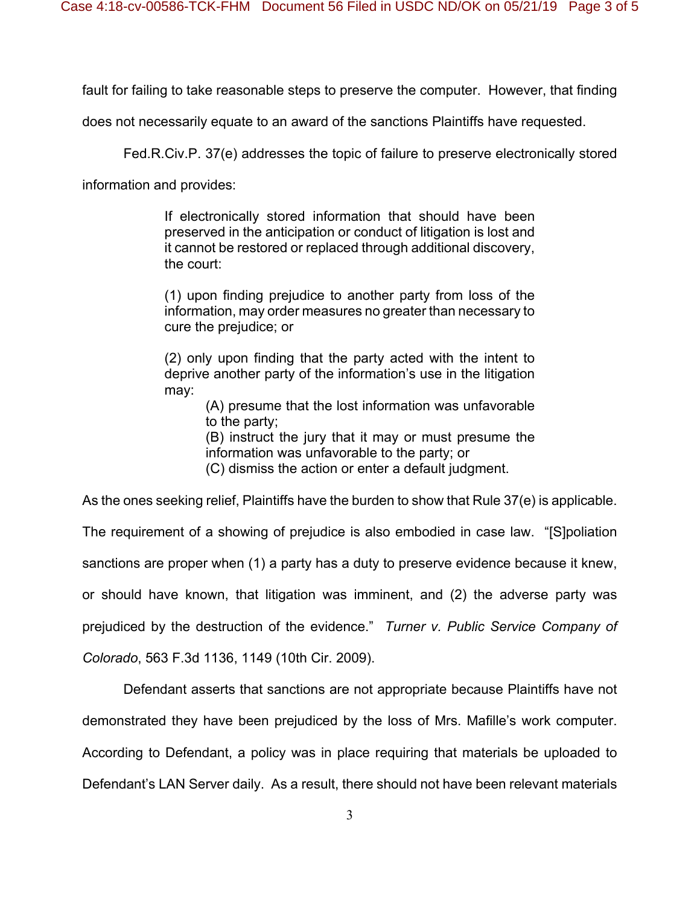fault for failing to take reasonable steps to preserve the computer. However, that finding

does not necessarily equate to an award of the sanctions Plaintiffs have requested.

Fed.R.Civ.P. 37(e) addresses the topic of failure to preserve electronically stored

information and provides:

If electronically stored information that should have been preserved in the anticipation or conduct of litigation is lost and it cannot be restored or replaced through additional discovery, the court:

(1) upon finding prejudice to another party from loss of the information, may order measures no greater than necessary to cure the prejudice; or

(2) only upon finding that the party acted with the intent to deprive another party of the information's use in the litigation may:

> (A) presume that the lost information was unfavorable to the party;

> (B) instruct the jury that it may or must presume the information was unfavorable to the party; or

(C) dismiss the action or enter a default judgment.

As the ones seeking relief, Plaintiffs have the burden to show that Rule 37(e) is applicable.

The requirement of a showing of prejudice is also embodied in case law. "[S]poliation

sanctions are proper when (1) a party has a duty to preserve evidence because it knew,

or should have known, that litigation was imminent, and (2) the adverse party was

prejudiced by the destruction of the evidence." *Turner v. Public Service Company of*

*Colorado*, 563 F.3d 1136, 1149 (10th Cir. 2009).

Defendant asserts that sanctions are not appropriate because Plaintiffs have not

demonstrated they have been prejudiced by the loss of Mrs. Mafille's work computer.

According to Defendant, a policy was in place requiring that materials be uploaded to

Defendant's LAN Server daily. As a result, there should not have been relevant materials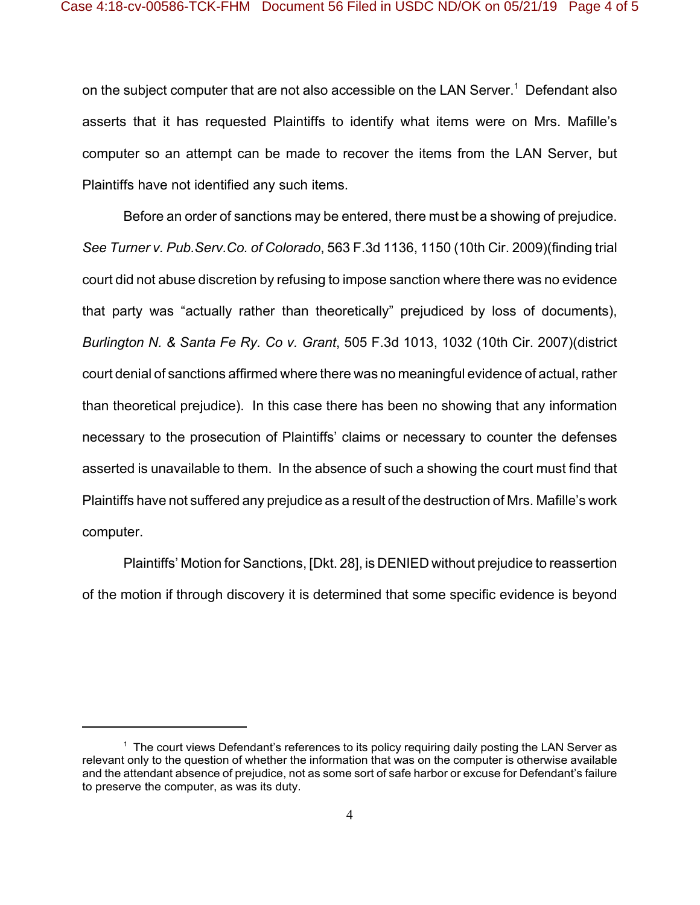on the subject computer that are not also accessible on the LAN Server. $^{\rm 1}$  Defendant also asserts that it has requested Plaintiffs to identify what items were on Mrs. Mafille's computer so an attempt can be made to recover the items from the LAN Server, but Plaintiffs have not identified any such items.

Before an order of sanctions may be entered, there must be a showing of prejudice. *See Turner v. Pub.Serv.Co. of Colorado*, 563 F.3d 1136, 1150 (10th Cir. 2009)(finding trial court did not abuse discretion by refusing to impose sanction where there was no evidence that party was "actually rather than theoretically" prejudiced by loss of documents), *Burlington N. & Santa Fe Ry. Co v. Grant*, 505 F.3d 1013, 1032 (10th Cir. 2007)(district court denial of sanctions affirmed where there was no meaningful evidence of actual, rather than theoretical prejudice). In this case there has been no showing that any information necessary to the prosecution of Plaintiffs' claims or necessary to counter the defenses asserted is unavailable to them. In the absence of such a showing the court must find that Plaintiffs have not suffered any prejudice as a result of the destruction of Mrs. Mafille's work computer.

Plaintiffs' Motion for Sanctions, [Dkt. 28], is DENIED without prejudice to reassertion of the motion if through discovery it is determined that some specific evidence is beyond

 $^{\rm 1}$  The court views Defendant's references to its policy requiring daily posting the LAN Server as relevant only to the question of whether the information that was on the computer is otherwise available and the attendant absence of prejudice, not as some sort of safe harbor or excuse for Defendant's failure to preserve the computer, as was its duty.